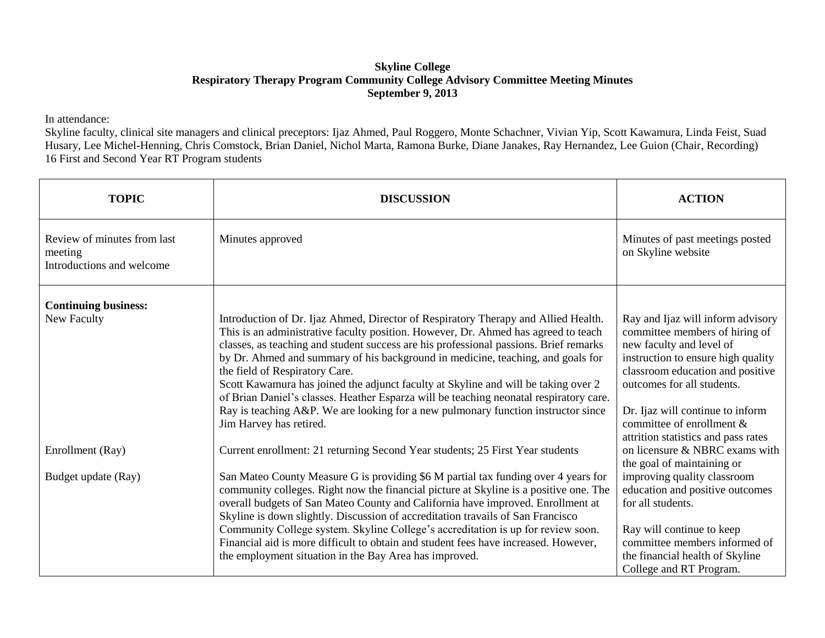## **Skyline College Respiratory Therapy Program Community College Advisory Committee Meeting Minutes September 9, 2013**

In attendance:

Skyline faculty, clinical site managers and clinical preceptors: Ijaz Ahmed, Paul Roggero, Monte Schachner, Vivian Yip, Scott Kawamura, Linda Feist, Suad Husary, Lee Michel-Henning, Chris Comstock, Brian Daniel, Nichol Marta, Ramona Burke, Diane Janakes, Ray Hernandez, Lee Guion (Chair, Recording) 16 First and Second Year RT Program students

| <b>TOPIC</b>                                                        | <b>DISCUSSION</b>                                                                                                                                                                                                                                                                                                                                                                                                                                                                                                                                                                                                                                                                      | <b>ACTION</b>                                                                                                                                                                                                                                                                                                   |
|---------------------------------------------------------------------|----------------------------------------------------------------------------------------------------------------------------------------------------------------------------------------------------------------------------------------------------------------------------------------------------------------------------------------------------------------------------------------------------------------------------------------------------------------------------------------------------------------------------------------------------------------------------------------------------------------------------------------------------------------------------------------|-----------------------------------------------------------------------------------------------------------------------------------------------------------------------------------------------------------------------------------------------------------------------------------------------------------------|
| Review of minutes from last<br>meeting<br>Introductions and welcome | Minutes approved                                                                                                                                                                                                                                                                                                                                                                                                                                                                                                                                                                                                                                                                       | Minutes of past meetings posted<br>on Skyline website                                                                                                                                                                                                                                                           |
| <b>Continuing business:</b>                                         |                                                                                                                                                                                                                                                                                                                                                                                                                                                                                                                                                                                                                                                                                        |                                                                                                                                                                                                                                                                                                                 |
| New Faculty                                                         | Introduction of Dr. Ijaz Ahmed, Director of Respiratory Therapy and Allied Health.<br>This is an administrative faculty position. However, Dr. Ahmed has agreed to teach<br>classes, as teaching and student success are his professional passions. Brief remarks<br>by Dr. Ahmed and summary of his background in medicine, teaching, and goals for<br>the field of Respiratory Care.<br>Scott Kawamura has joined the adjunct faculty at Skyline and will be taking over 2<br>of Brian Daniel's classes. Heather Esparza will be teaching neonatal respiratory care.<br>Ray is teaching A&P. We are looking for a new pulmonary function instructor since<br>Jim Harvey has retired. | Ray and Ijaz will inform advisory<br>committee members of hiring of<br>new faculty and level of<br>instruction to ensure high quality<br>classroom education and positive<br>outcomes for all students.<br>Dr. Ijaz will continue to inform<br>committee of enrollment &<br>attrition statistics and pass rates |
| Enrollment (Ray)                                                    | Current enrollment: 21 returning Second Year students; 25 First Year students                                                                                                                                                                                                                                                                                                                                                                                                                                                                                                                                                                                                          | on licensure & NBRC exams with<br>the goal of maintaining or                                                                                                                                                                                                                                                    |
| Budget update (Ray)                                                 | San Mateo County Measure G is providing \$6 M partial tax funding over 4 years for<br>community colleges. Right now the financial picture at Skyline is a positive one. The<br>overall budgets of San Mateo County and California have improved. Enrollment at<br>Skyline is down slightly. Discussion of accreditation travails of San Francisco<br>Community College system. Skyline College's accreditation is up for review soon.<br>Financial aid is more difficult to obtain and student fees have increased. However,<br>the employment situation in the Bay Area has improved.                                                                                                 | improving quality classroom<br>education and positive outcomes<br>for all students.<br>Ray will continue to keep<br>committee members informed of<br>the financial health of Skyline<br>College and RT Program.                                                                                                 |